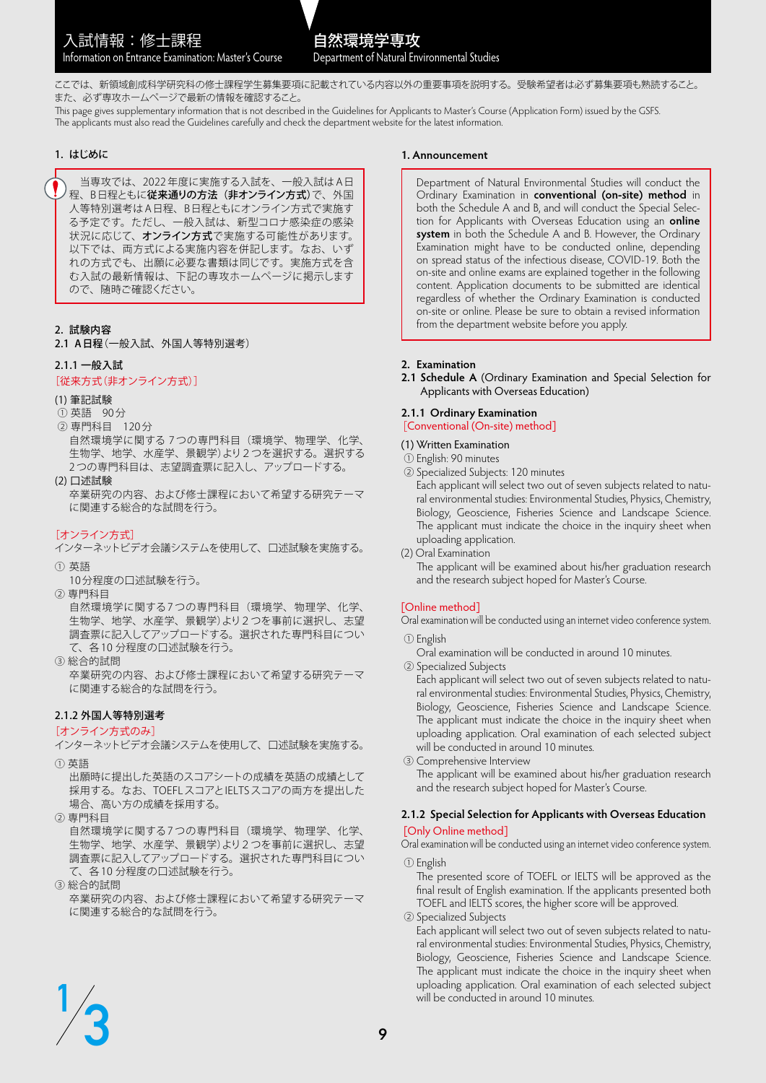ここでは、新領域創成科学研究科の修士課程学生募集要項に記載されている内容以外の重要事項を説明する。受験希望者は必ず募集要項も熟読すること。 また、必ず専攻ホームページで最新の情報を確認すること。

This page gives supplementary information that is not described in the Guidelines for Applicants to Master's Course (Application Form) issued by the GSFS. The applicants must also read the Guidelines carefully and check the department website for the latest information.

# 1. はじめに

 当専攻では、2022 年度に実施する入試を、一般入試は A日 程、B日程ともに従来通りの方法(非オンライン方式)で、外国 人等特別選考は A日程、B日程ともにオンライン方式で実施す る予定です。ただし、一般入試は、新型コロナ感染症の感染 状況に応じて、オンライン方式で実施する可能性があります。 以下では、両方式による実施内容を併記します。なお、いず れの方式でも、出願に必要な書類は同じです。実施方式を含 む入試の最新情報は、下記の専攻ホームページに掲示します ので、随時ご確認ください。

# 2. 試験内容

2.1 A日程(一般入試、外国人等特別選考)

# 2.1.1 一般入試

### [従来方式(非オンライン方式)]

#### (1) 筆記試験

- ① 英語 90 分
- ② 専門科目 120 分

自然環境学に関する 7 つの専門科目(環境学、物理学、化学、 生物学、地学、水産学、景観学)より2つを選択する。選択する 2 つの専門科目は、志望調査票に記入し、アップロードする。

(2) 口述試験

卒業研究の内容、および修士課程において希望する研究テーマ に関連する総合的な試問を行う。

# [オンライン方式]

インターネットビデオ会議システムを使用して、口述試験を実施する。 ① 英語

- 10 分程度の口述試験を行う。
- ② 専門科目

自然環境学に関する 7 つの専門科目(環境学、物理学、化学、 生物学、地学、水産学、景観学)より2つを事前に選択し、志望 調査票に記入してアップロードする。選択された専門科目につい て、各 10 分程度の口述試験を行う。

③ 総合的試問 卒業研究の内容、および修士課程において希望する研究テーマ に関連する総合的な試問を行う。

# 2.1.2 外国人等特別選考

#### [オンライン方式のみ]

インターネットビデオ会議システムを使用して、口述試験を実施する。 ① 英語

出願時に提出した英語のスコアシートの成績を英語の成績として 採用する。なお、TOEFLスコアとIELTSスコアの両方を提出した 場合、高い方の成績を採用する。

② 専門科目

自然環境学に関する 7 つの専門科目(環境学、物理学、化学、 生物学、地学、水産学、景観学)より2つを事前に選択し、志望 調査票に記入してアップロードする。選択された専門科目につい て、各 10 分程度の口述試験を行う。

③ 総合的試問

卒業研究の内容、および修士課程において希望する研究テーマ に関連する総合的な試問を行う。

#### **1. Announcement**

Department of Natural Environmental Studies will conduct the Ordinary Examination in **conventional (on-site) method** in both the Schedule A and B, and will conduct the Special Selection for Applicants with Overseas Education using an **online system** in both the Schedule A and B. However, the Ordinary Examination might have to be conducted online, depending on spread status of the infectious disease, COVID-19. Both the on-site and online exams are explained together in the following content. Application documents to be submitted are identical regardless of whether the Ordinary Examination is conducted on-site or online. Please be sure to obtain a revised information from the department website before you apply.

#### **2. Examination**

**2.1 Schedule A** (Ordinary Examination and Special Selection for Applicants with Overseas Education)

# **2.1.1 Ordinary Examination**

[Conventional (On-site) method]

- (1) Written Examination
- ① English: 90 minutes
- ② Specialized Subjects: 120 minutes

Each applicant will select two out of seven subjects related to natural environmental studies: Environmental Studies, Physics, Chemistry, Biology, Geoscience, Fisheries Science and Landscape Science. The applicant must indicate the choice in the inquiry sheet when uploading application.

(2) Oral Examination The applicant will be examined about his/her graduation research and the research subject hoped for Master's Course.

# [Online method]

Oral examination will be conducted using an internet video conference system.

# ① English

Oral examination will be conducted in around 10 minutes.

② Specialized Subjects

Each applicant will select two out of seven subjects related to natural environmental studies: Environmental Studies, Physics, Chemistry, Biology, Geoscience, Fisheries Science and Landscape Science. The applicant must indicate the choice in the inquiry sheet when uploading application. Oral examination of each selected subject will be conducted in around 10 minutes.

 ③ Comprehensive Interview The applicant will be examined about his/her graduation research and the research subject hoped for Master's Course.

# **2.1.2 Special Selection for Applicants with Overseas Education** [Only Online method]

Oral examination will be conducted using an internet video conference system.

① English

The presented score of TOEFL or IELTS will be approved as the final result of English examination. If the applicants presented both TOEFL and IELTS scores, the higher score will be approved.

② Specialized Subjects

Each applicant will select two out of seven subjects related to natural environmental studies: Environmental Studies, Physics, Chemistry, Biology, Geoscience, Fisheries Science and Landscape Science. The applicant must indicate the choice in the inquiry sheet when uploading application. Oral examination of each selected subject will be conducted in around 10 minutes.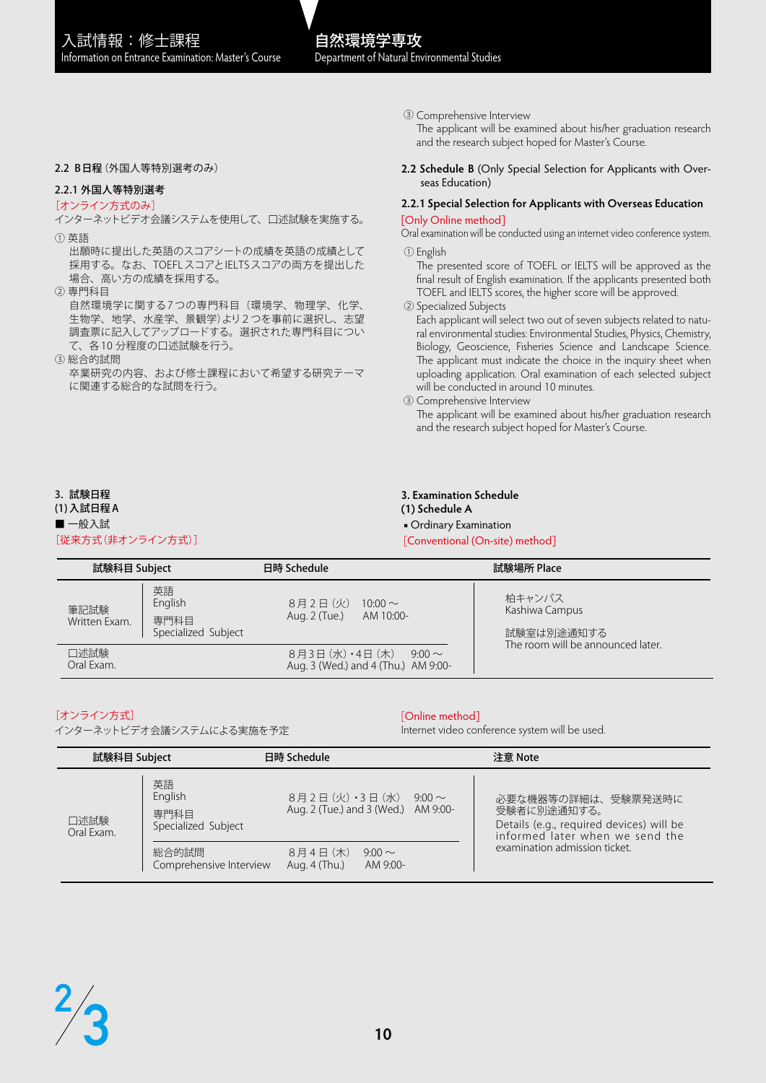# 自然環境学専攻 Department of Natural Environmental Studies

#### 2.2 B日程(外国人等特別選考のみ)

# 2.2.1 外国人等特別選考

#### [オンライン方式のみ]

インターネットビデオ会議システムを使用して、口述試験を実施する。

- ① 英語
- 出願時に提出した英語のスコアシートの成績を英語の成績として 採用する。なお、TOEFLスコアとIELTSスコアの両方を提出した 場合、高い方の成績を採用する。
- ② 専門科目

自然環境学に関する7つの専門科目(環境学、物理学、化学、 生物学、地学、水産学、景観学)より2つを事前に選択し、志望 調査票に記入してアップロードする。選択された専門科目につい て、各 10 分程度の口述試験を行う。

③ 総合的試問

卒業研究の内容、および修士課程において希望する研究テーマ に関連する総合的な試問を行う。

③ Comprehensive Interview

The applicant will be examined about his/her graduation research and the research subject hoped for Master's Course.

**2.2 Schedule B** (Only Special Selection for Applicants with Overseas Education)

#### **2.2.1 Special Selection for Applicants with Overseas Education** [Only Online method]

Oral examination will be conducted using an internet video conference system. ① English

The presented score of TOEFL or IELTS will be approved as the final result of English examination. If the applicants presented both TOEFL and IELTS scores, the higher score will be approved.

② Specialized Subjects

Each applicant will select two out of seven subjects related to natural environmental studies: Environmental Studies, Physics, Chemistry, Biology, Geoscience, Fisheries Science and Landscape Science. The applicant must indicate the choice in the inquiry sheet when uploading application. Oral examination of each selected subject will be conducted in around 10 minutes.

③ Comprehensive Interview

The applicant will be examined about his/her graduation research and the research subject hoped for Master's Course.

#### 3. 試験日程

#### (1)入試日程 A ■ 一般入試

[従来方式(非オンライン方式)]

#### **3. Examination Schedule**

- **(1) Schedule A**
- Ordinary Examination

[Conventional (On-site) method]

| 試験科目 Subject          |                                              | 日時 Schedule                                                            | 試験場所 Place                                                                  |
|-----------------------|----------------------------------------------|------------------------------------------------------------------------|-----------------------------------------------------------------------------|
| 筆記試験<br>Written Exam. | 英語<br>English<br>専門科目<br>Specialized Subject | 8月2日(火)<br>$10:00 \sim$<br>Aug. 2 (Tue.)<br>AM 10:00-                  | 柏キャンパス<br>Kashiwa Campus<br>試験室は別途通知する<br>The room will be announced later. |
| 口述試験<br>Oral Exam.    |                                              | 8月3日 (水) ・4日 (木)<br>$9:00 \sim$<br>Aug. 3 (Wed.) and 4 (Thu.) AM 9:00- |                                                                             |

# [オンライン方式]

インターネットビデオ会議システムによる実施を予定

[Online method]

Internet video conference system will be used.

| 試験科目 Subject       |                                              | 日時 Schedule                                                                                             | 注意 Note                                                                                                                                           |
|--------------------|----------------------------------------------|---------------------------------------------------------------------------------------------------------|---------------------------------------------------------------------------------------------------------------------------------------------------|
| 口述試験<br>Oral Exam. | 英語<br>English<br>専門科目<br>Specialized Subject | $8$ 月2日 $(\mathcal{H}) \cdot 3$ 日 $(\mathcal{H})$<br>$9:00 \sim$<br>Aug. 2 (Tue.) and 3 (Wed.) AM 9:00- | 必要な機器等の詳細は、受験票発送時に<br>受験者に別途通知する。<br>Details (e.g., required devices) will be<br>informed later when we send the<br>examination admission ticket. |
|                    | 総合的試問<br>Comprehensive Interview             | 8月4日(木)<br>$9:00 \sim$<br>Aug. 4 (Thu.)<br>AM 9:00-                                                     |                                                                                                                                                   |